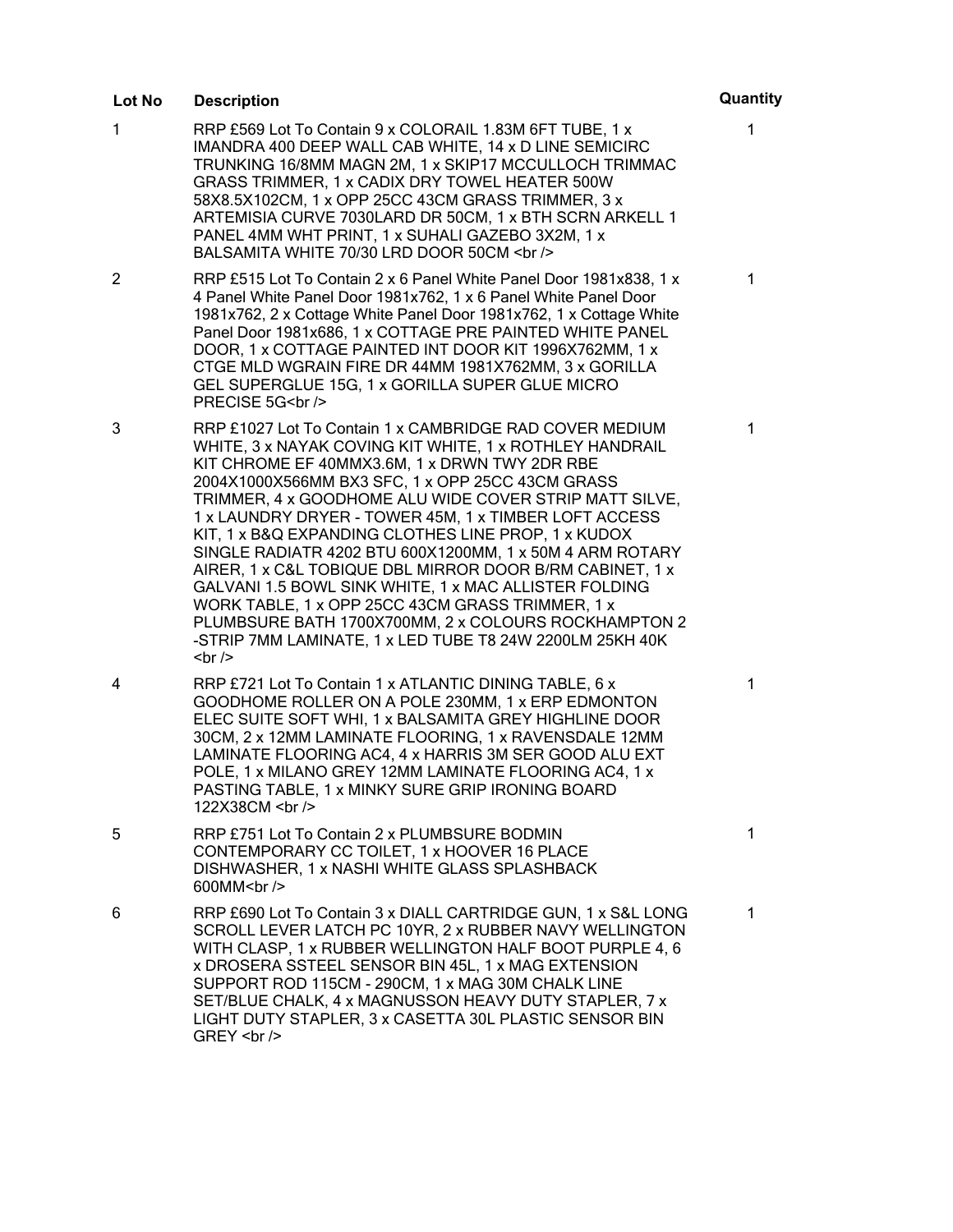## **Lot No Description Quantity**

- 1 RRP £569 Lot To Contain 9 x COLORAIL 1.83M 6FT TUBE, 1 x IMANDRA 400 DEEP WALL CAB WHITE, 14 x D LINE SEMICIRC TRUNKING 16/8MM MAGN 2M, 1 x SKIP17 MCCULLOCH TRIMMAC GRASS TRIMMER, 1 x CADIX DRY TOWEL HEATER 500W 58X8.5X102CM, 1 x OPP 25CC 43CM GRASS TRIMMER, 3 x ARTEMISIA CURVE 7030LARD DR 50CM, 1 x BTH SCRN ARKELL 1 PANEL 4MM WHT PRINT, 1 x SUHALI GAZEBO 3X2M, 1 x BALSAMITA WHITE 70/30 LRD DOOR 50CM <br />>
- 2 RRP £515 Lot To Contain 2 x 6 Panel White Panel Door 1981x838, 1 x 4 Panel White Panel Door 1981x762, 1 x 6 Panel White Panel Door 1981x762, 2 x Cottage White Panel Door 1981x762, 1 x Cottage White Panel Door 1981x686, 1 x COTTAGE PRE PAINTED WHITE PANEL DOOR, 1 x COTTAGE PAINTED INT DOOR KIT 1996X762MM, 1 x CTGE MLD WGRAIN FIRE DR 44MM 1981X762MM, 3 x GORILLA GEL SUPERGLUE 15G, 1 x GORILLA SUPER GLUE MICRO PRECISE 5G<br />
- 3 RRP £1027 Lot To Contain 1 x CAMBRIDGE RAD COVER MEDIUM WHITE, 3 x NAYAK COVING KIT WHITE, 1 x ROTHLEY HANDRAIL KIT CHROME EF 40MMX3.6M, 1 x DRWN TWY 2DR RBE 2004X1000X566MM BX3 SFC, 1 x OPP 25CC 43CM GRASS TRIMMER, 4 x GOODHOME ALU WIDE COVER STRIP MATT SILVE, 1 x LAUNDRY DRYER - TOWER 45M, 1 x TIMBER LOFT ACCESS KIT, 1 x B&Q EXPANDING CLOTHES LINE PROP, 1 x KUDOX SINGLE RADIATR 4202 BTU 600X1200MM, 1 x 50M 4 ARM ROTARY AIRER, 1 x C&L TOBIQUE DBL MIRROR DOOR B/RM CABINET, 1 x GALVANI 1.5 BOWL SINK WHITE, 1 x MAC ALLISTER FOLDING WORK TABLE, 1 x OPP 25CC 43CM GRASS TRIMMER, 1 x PLUMBSURE BATH 1700X700MM, 2 x COLOURS ROCKHAMPTON 2 -STRIP 7MM LAMINATE, 1 x LED TUBE T8 24W 2200LM 25KH 40K  $str  $>$$
- 4 RRP £721 Lot To Contain 1 x ATLANTIC DINING TABLE, 6 x GOODHOME ROLLER ON A POLE 230MM, 1 x ERP EDMONTON ELEC SUITE SOFT WHI, 1 x BALSAMITA GREY HIGHLINE DOOR 30CM, 2 x 12MM LAMINATE FLOORING, 1 x RAVENSDALE 12MM LAMINATE FLOORING AC4, 4 x HARRIS 3M SER GOOD ALU EXT POLE, 1 x MILANO GREY 12MM LAMINATE FLOORING AC4, 1 x PASTING TABLE, 1 x MINKY SURE GRIP IRONING BOARD 122X38CM <br />
- 5 RRP £751 Lot To Contain 2 x PLUMBSURE BODMIN CONTEMPORARY CC TOILET, 1 x HOOVER 16 PLACE DISHWASHER, 1 x NASHI WHITE GLASS SPLASHBACK 600MM<br />
- 6 RRP £690 Lot To Contain 3 x DIALL CARTRIDGE GUN, 1 x S&L LONG SCROLL LEVER LATCH PC 10YR, 2 x RUBBER NAVY WELLINGTON WITH CLASP, 1 x RUBBER WELLINGTON HALF BOOT PURPLE 4, 6 x DROSERA SSTEEL SENSOR BIN 45L, 1 x MAG EXTENSION SUPPORT ROD 115CM - 290CM, 1 x MAG 30M CHALK LINE SET/BLUE CHALK, 4 x MAGNUSSON HEAVY DUTY STAPLER, 7 x LIGHT DUTY STAPLER, 3 x CASETTA 30L PLASTIC SENSOR BIN GREY <br />

# 1

1

1

1

1

1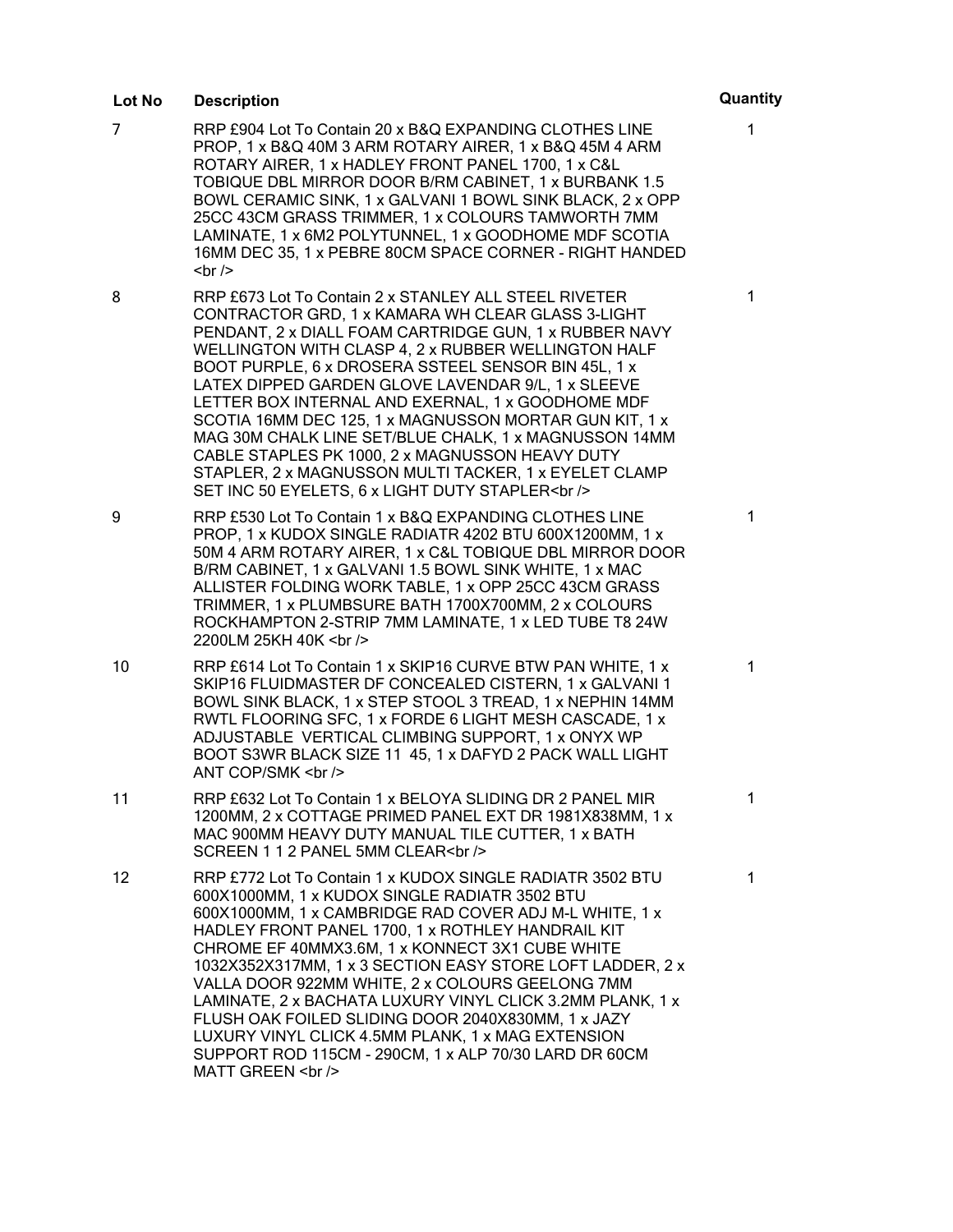## **Lot No Description Quantity**

- 7 RRP £904 Lot To Contain 20 x B&Q EXPANDING CLOTHES LINE PROP, 1 x B&Q 40M 3 ARM ROTARY AIRER, 1 x B&Q 45M 4 ARM ROTARY AIRER, 1 x HADLEY FRONT PANEL 1700, 1 x C&L TOBIQUE DBL MIRROR DOOR B/RM CABINET, 1 x BURBANK 1.5 BOWL CERAMIC SINK, 1 x GALVANI 1 BOWL SINK BLACK, 2 x OPP 25CC 43CM GRASS TRIMMER, 1 x COLOURS TAMWORTH 7MM LAMINATE, 1 x 6M2 POLYTUNNEL, 1 x GOODHOME MDF SCOTIA 16MM DEC 35, 1 x PEBRE 80CM SPACE CORNER - RIGHT HANDED  $str  $>$$
- 8 RRP £673 Lot To Contain 2 x STANLEY ALL STEEL RIVETER CONTRACTOR GRD, 1 x KAMARA WH CLEAR GLASS 3-LIGHT PENDANT, 2 x DIALL FOAM CARTRIDGE GUN, 1 x RUBBER NAVY WELLINGTON WITH CLASP 4, 2 x RUBBER WELLINGTON HALF BOOT PURPLE, 6 x DROSERA SSTEEL SENSOR BIN 45L, 1 x LATEX DIPPED GARDEN GLOVE LAVENDAR 9/L, 1 x SLEEVE LETTER BOX INTERNAL AND EXERNAL, 1 x GOODHOME MDF SCOTIA 16MM DEC 125, 1 x MAGNUSSON MORTAR GUN KIT, 1 x MAG 30M CHALK LINE SET/BLUE CHALK, 1 x MAGNUSSON 14MM CABLE STAPLES PK 1000, 2 x MAGNUSSON HEAVY DUTY STAPLER, 2 x MAGNUSSON MULTI TACKER, 1 x EYELET CLAMP SET INC 50 EYELETS, 6 x LIGHT DUTY STAPLER<br />>
- 9 RRP £530 Lot To Contain 1 x B&Q EXPANDING CLOTHES LINE PROP, 1 x KUDOX SINGLE RADIATR 4202 BTU 600X1200MM, 1 x 50M 4 ARM ROTARY AIRER, 1 x C&L TOBIQUE DBL MIRROR DOOR B/RM CABINET, 1 x GALVANI 1.5 BOWL SINK WHITE, 1 x MAC ALLISTER FOLDING WORK TABLE, 1 x OPP 25CC 43CM GRASS TRIMMER, 1 x PLUMBSURE BATH 1700X700MM, 2 x COLOURS ROCKHAMPTON 2-STRIP 7MM LAMINATE, 1 x LED TUBE T8 24W 2200LM 25KH 40K <br />
- 10 RRP £614 Lot To Contain 1 x SKIP16 CURVE BTW PAN WHITE, 1 x SKIP16 FLUIDMASTER DF CONCEALED CISTERN, 1 x GALVANI 1 BOWL SINK BLACK, 1 x STEP STOOL 3 TREAD, 1 x NEPHIN 14MM RWTL FLOORING SFC, 1 x FORDE 6 LIGHT MESH CASCADE, 1 x ADJUSTABLE VERTICAL CLIMBING SUPPORT, 1 x ONYX WP BOOT S3WR BLACK SIZE 11 45, 1 x DAFYD 2 PACK WALL LIGHT ANT COP/SMK <br />
- 11 RRP £632 Lot To Contain 1 x BELOYA SLIDING DR 2 PANEL MIR 1200MM, 2 x COTTAGE PRIMED PANEL EXT DR 1981X838MM, 1 x MAC 900MM HEAVY DUTY MANUAL TILE CUTTER, 1 x BATH SCREEN 1 1 2 PANEL 5MM CLEAR<br />
- 12 RRP £772 Lot To Contain 1 x KUDOX SINGLE RADIATR 3502 BTU 600X1000MM, 1 x KUDOX SINGLE RADIATR 3502 BTU 600X1000MM, 1 x CAMBRIDGE RAD COVER ADJ M-L WHITE, 1 x HADLEY FRONT PANEL 1700, 1 x ROTHLEY HANDRAIL KIT CHROME EF 40MMX3.6M, 1 x KONNECT 3X1 CUBE WHITE 1032X352X317MM, 1 x 3 SECTION EASY STORE LOFT LADDER, 2 x VALLA DOOR 922MM WHITE, 2 x COLOURS GEELONG 7MM LAMINATE, 2 x BACHATA LUXURY VINYL CLICK 3.2MM PLANK, 1 x FLUSH OAK FOILED SLIDING DOOR 2040X830MM, 1 x JAZY LUXURY VINYL CLICK 4.5MM PLANK, 1 x MAG EXTENSION SUPPORT ROD 115CM - 290CM, 1 x ALP 70/30 LARD DR 60CM MATT GREEN <br />

1

1

1

1

1

1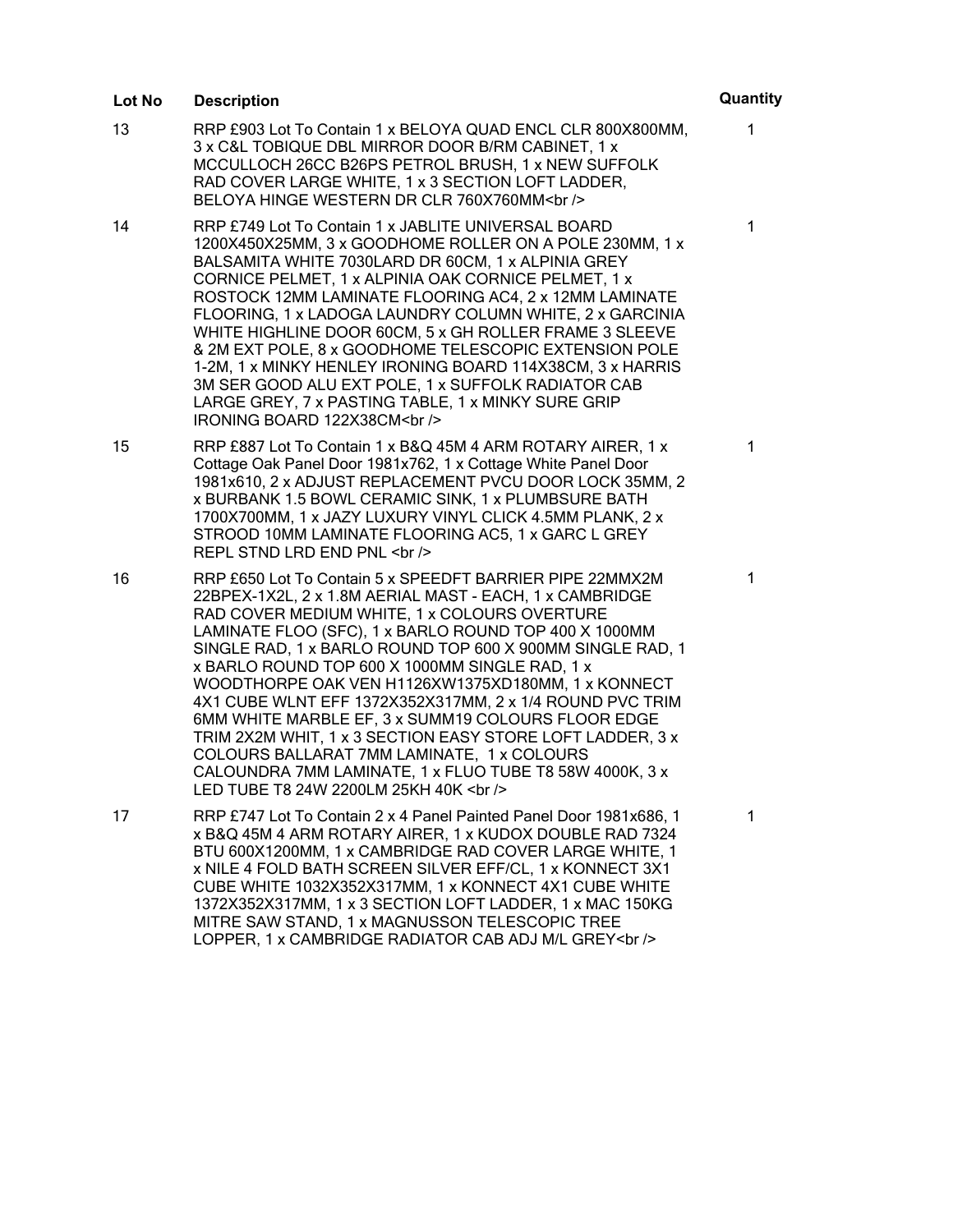#### 13 RRP £903 Lot To Contain 1 x BELOYA QUAD ENCL CLR 800X800MM, 3 x C&L TOBIQUE DBL MIRROR DOOR B/RM CABINET, 1 x MCCULLOCH 26CC B26PS PETROL BRUSH, 1 x NEW SUFFOLK RAD COVER LARGE WHITE, 1 x 3 SECTION LOFT LADDER, BELOYA HINGE WESTERN DR CLR 760X760MM<br /> 1 14 RRP £749 Lot To Contain 1 x JABLITE UNIVERSAL BOARD 1200X450X25MM, 3 x GOODHOME ROLLER ON A POLE 230MM, 1 x BALSAMITA WHITE 7030LARD DR 60CM, 1 x ALPINIA GREY CORNICE PELMET, 1 x ALPINIA OAK CORNICE PELMET, 1 x ROSTOCK 12MM LAMINATE FLOORING AC4, 2 x 12MM LAMINATE FLOORING, 1 x LADOGA LAUNDRY COLUMN WHITE, 2 x GARCINIA WHITE HIGHLINE DOOR 60CM, 5 x GH ROLLER FRAME 3 SLEEVE & 2M EXT POLE, 8 x GOODHOME TELESCOPIC EXTENSION POLE 1-2M, 1 x MINKY HENLEY IRONING BOARD 114X38CM, 3 x HARRIS 3M SER GOOD ALU EXT POLE, 1 x SUFFOLK RADIATOR CAB LARGE GREY, 7 x PASTING TABLE, 1 x MINKY SURE GRIP IRONING BOARD 122X38CM<br /> 1 15 RRP £887 Lot To Contain 1 x B&Q 45M 4 ARM ROTARY AIRER, 1 x Cottage Oak Panel Door 1981x762, 1 x Cottage White Panel Door 1981x610, 2 x ADJUST REPLACEMENT PVCU DOOR LOCK 35MM, 2 x BURBANK 1.5 BOWL CERAMIC SINK, 1 x PLUMBSURE BATH 1700X700MM, 1 x JAZY LUXURY VINYL CLICK 4.5MM PLANK, 2 x STROOD 10MM LAMINATE FLOORING AC5, 1 x GARC L GREY REPL STND LRD END PNL <br /> 1 16 RRP £650 Lot To Contain 5 x SPEEDFT BARRIER PIPE 22MMX2M 22BPEX-1X2L, 2 x 1.8M AERIAL MAST - EACH, 1 x CAMBRIDGE RAD COVER MEDIUM WHITE, 1 x COLOURS OVERTURE LAMINATE FLOO (SFC), 1 x BARLO ROUND TOP 400 X 1000MM SINGLE RAD, 1 x BARLO ROUND TOP 600 X 900MM SINGLE RAD, 1 x BARLO ROUND TOP 600 X 1000MM SINGLE RAD, 1 x WOODTHORPE OAK VEN H1126XW1375XD180MM, 1 x KONNECT 4X1 CUBE WLNT EFF 1372X352X317MM, 2 x 1/4 ROUND PVC TRIM 6MM WHITE MARBLE EF, 3 x SUMM19 COLOURS FLOOR EDGE TRIM 2X2M WHIT, 1 x 3 SECTION EASY STORE LOFT LADDER, 3 x COLOURS BALLARAT 7MM LAMINATE, 1 x COLOURS CALOUNDRA 7MM LAMINATE, 1 x FLUO TUBE T8 58W 4000K, 3 x 1 **Lot No Description Quantity**

17 RRP £747 Lot To Contain 2 x 4 Panel Painted Panel Door 1981x686, 1 x B&Q 45M 4 ARM ROTARY AIRER, 1 x KUDOX DOUBLE RAD 7324 BTU 600X1200MM, 1 x CAMBRIDGE RAD COVER LARGE WHITE, 1 x NILE 4 FOLD BATH SCREEN SILVER EFF/CL, 1 x KONNECT 3X1 CUBE WHITE 1032X352X317MM, 1 x KONNECT 4X1 CUBE WHITE 1372X352X317MM, 1 x 3 SECTION LOFT LADDER, 1 x MAC 150KG MITRE SAW STAND, 1 x MAGNUSSON TELESCOPIC TREE LOPPER, 1 x CAMBRIDGE RADIATOR CAB ADJ M/L GREY<br />>

1

LED TUBE T8 24W 2200LM 25KH 40K <br />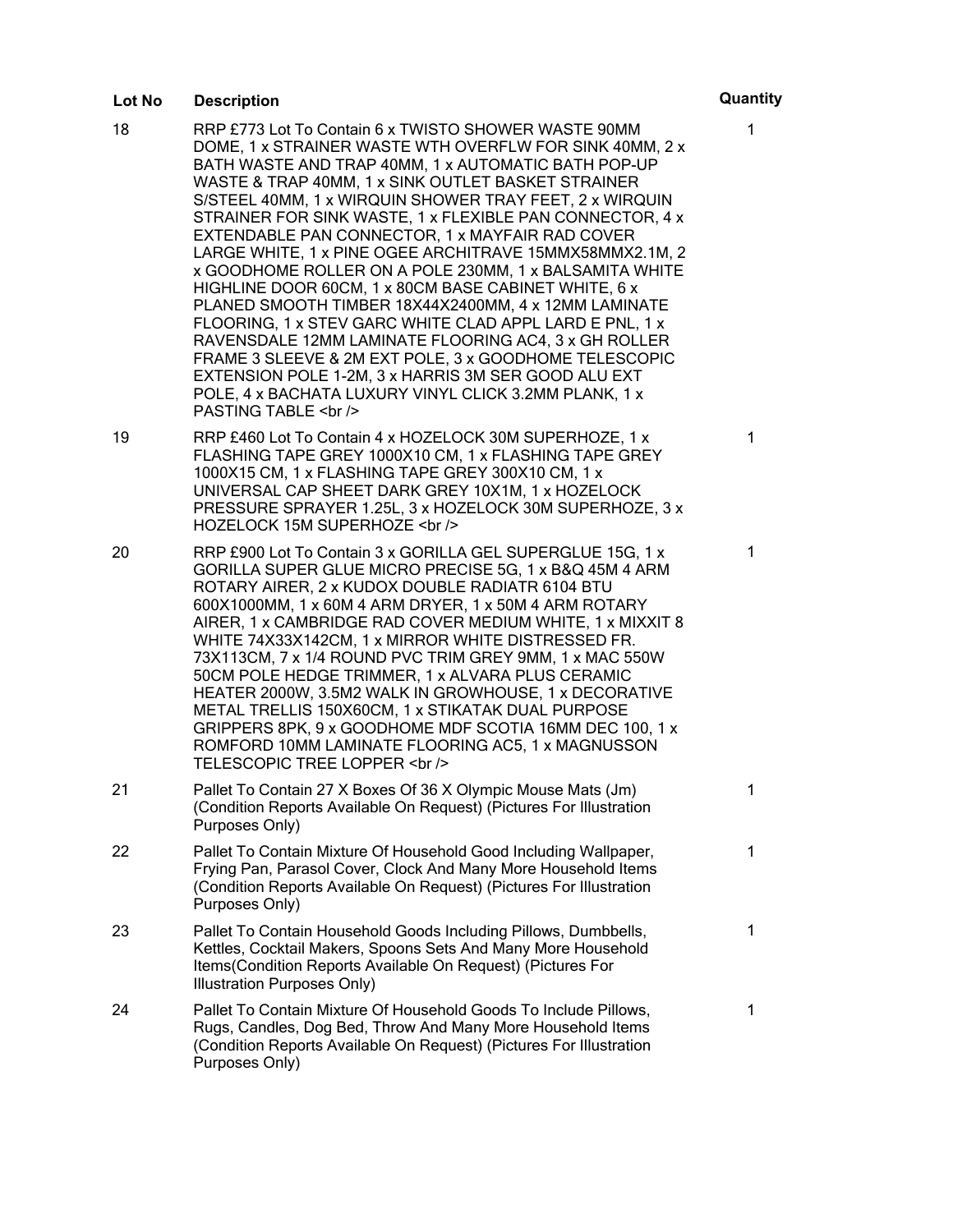#### **Lot No Description Quantity**

1

1

1

1

1

1

1

- 18 RRP £773 Lot To Contain 6 x TWISTO SHOWER WASTE 90MM DOME, 1 x STRAINER WASTE WTH OVERFLW FOR SINK 40MM, 2 x BATH WASTE AND TRAP 40MM, 1 x AUTOMATIC BATH POP-UP WASTE & TRAP 40MM, 1 x SINK OUTLET BASKET STRAINER S/STEEL 40MM, 1 x WIRQUIN SHOWER TRAY FEET, 2 x WIRQUIN STRAINER FOR SINK WASTE, 1 x FLEXIBLE PAN CONNECTOR, 4 x EXTENDABLE PAN CONNECTOR, 1 x MAYFAIR RAD COVER LARGE WHITE, 1 x PINE OGEE ARCHITRAVE 15MMX58MMX2.1M, 2 x GOODHOME ROLLER ON A POLE 230MM, 1 x BALSAMITA WHITE HIGHLINE DOOR 60CM, 1 x 80CM BASE CABINET WHITE, 6 x PLANED SMOOTH TIMBER 18X44X2400MM, 4 x 12MM LAMINATE FLOORING, 1 x STEV GARC WHITE CLAD APPL LARD E PNL, 1 x RAVENSDALE 12MM LAMINATE FLOORING AC4, 3 x GH ROLLER FRAME 3 SLEEVE & 2M EXT POLE, 3 x GOODHOME TELESCOPIC EXTENSION POLE 1-2M, 3 x HARRIS 3M SER GOOD ALU EXT POLE, 4 x BACHATA LUXURY VINYL CLICK 3.2MM PLANK, 1 x PASTING TABLE <br /> 19 RRP £460 Lot To Contain 4 x HOZELOCK 30M SUPERHOZE, 1 x FLASHING TAPE GREY 1000X10 CM, 1 x FLASHING TAPE GREY 1000X15 CM, 1 x FLASHING TAPE GREY 300X10 CM, 1 x UNIVERSAL CAP SHEET DARK GREY 10X1M, 1 x HOZELOCK PRESSURE SPRAYER 1.25L, 3 x HOZELOCK 30M SUPERHOZE, 3 x HOZELOCK 15M SUPERHOZE <br />
- 20 RRP £900 Lot To Contain 3 x GORILLA GEL SUPERGLUE 15G, 1 x GORILLA SUPER GLUE MICRO PRECISE 5G, 1 x B&Q 45M 4 ARM ROTARY AIRER, 2 x KUDOX DOUBLE RADIATR 6104 BTU 600X1000MM, 1 x 60M 4 ARM DRYER, 1 x 50M 4 ARM ROTARY AIRER, 1 x CAMBRIDGE RAD COVER MEDIUM WHITE, 1 x MIXXIT 8 WHITE 74X33X142CM, 1 x MIRROR WHITE DISTRESSED FR. 73X113CM, 7 x 1/4 ROUND PVC TRIM GREY 9MM, 1 x MAC 550W 50CM POLE HEDGE TRIMMER, 1 x ALVARA PLUS CERAMIC HEATER 2000W, 3.5M2 WALK IN GROWHOUSE, 1 x DECORATIVE METAL TRELLIS 150X60CM, 1 x STIKATAK DUAL PURPOSE GRIPPERS 8PK, 9 x GOODHOME MDF SCOTIA 16MM DEC 100, 1 x ROMFORD 10MM LAMINATE FLOORING AC5, 1 x MAGNUSSON TELESCOPIC TREE LOPPER <br />
- 21 Pallet To Contain 27 X Boxes Of 36 X Olympic Mouse Mats (Jm) (Condition Reports Available On Request) (Pictures For Illustration Purposes Only)
- 22 Pallet To Contain Mixture Of Household Good Including Wallpaper, Frying Pan, Parasol Cover, Clock And Many More Household Items (Condition Reports Available On Request) (Pictures For Illustration Purposes Only)
- 23 Pallet To Contain Household Goods Including Pillows, Dumbbells, Kettles, Cocktail Makers, Spoons Sets And Many More Household Items(Condition Reports Available On Request) (Pictures For Illustration Purposes Only)
- 24 Pallet To Contain Mixture Of Household Goods To Include Pillows, Rugs, Candles, Dog Bed, Throw And Many More Household Items (Condition Reports Available On Request) (Pictures For Illustration Purposes Only)